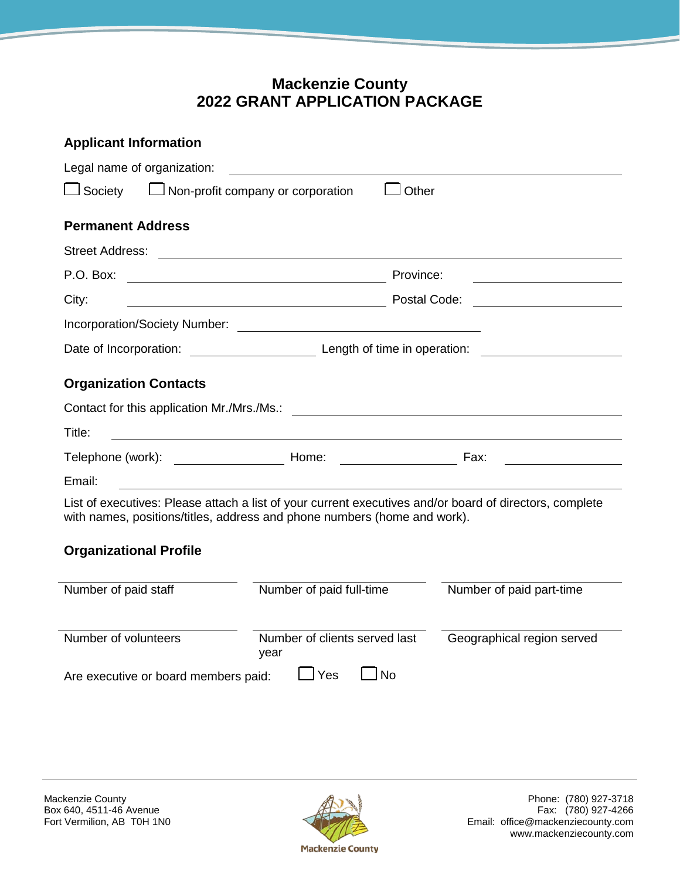## **Mackenzie County 2022 GRANT APPLICATION PACKAGE**

| <b>Applicant Information</b>                                                                                                                                                        |                                                                                                                                      |                            |  |  |  |  |
|-------------------------------------------------------------------------------------------------------------------------------------------------------------------------------------|--------------------------------------------------------------------------------------------------------------------------------------|----------------------------|--|--|--|--|
| Legal name of organization:                                                                                                                                                         | <u>a sa salawan na matang kalendar na mga ka</u>                                                                                     |                            |  |  |  |  |
| $\Box$ Non-profit company or corporation<br>J Other<br>$\Box$ Society                                                                                                               |                                                                                                                                      |                            |  |  |  |  |
| <b>Permanent Address</b>                                                                                                                                                            |                                                                                                                                      |                            |  |  |  |  |
| <b>Street Address:</b>                                                                                                                                                              | <u> 1980 - Jan Samuel Barbara, margaret eta idazlea (h. 1980).</u>                                                                   |                            |  |  |  |  |
| P.O. Box:                                                                                                                                                                           | Province:                                                                                                                            |                            |  |  |  |  |
| City:                                                                                                                                                                               | Postal Code:<br><u> 1989 - Johann Barn, mars eta bat erroman erroman erroman erroman erroman erroman erroman erroman erroman err</u> |                            |  |  |  |  |
|                                                                                                                                                                                     |                                                                                                                                      |                            |  |  |  |  |
|                                                                                                                                                                                     |                                                                                                                                      |                            |  |  |  |  |
| <b>Organization Contacts</b>                                                                                                                                                        |                                                                                                                                      |                            |  |  |  |  |
| Contact for this application Mr./Mrs./Ms.:                                                                                                                                          | <u> 1989 - Johann Harry Harry Harry Harry Harry Harry Harry Harry Harry Harry Harry Harry Harry Harry Harry Harry</u>                |                            |  |  |  |  |
| Title:                                                                                                                                                                              | <u> 1980 - Johann Barn, mars ar breithinn ar chomhair an t-</u>                                                                      |                            |  |  |  |  |
|                                                                                                                                                                                     |                                                                                                                                      |                            |  |  |  |  |
| Email:                                                                                                                                                                              |                                                                                                                                      |                            |  |  |  |  |
| List of executives: Please attach a list of your current executives and/or board of directors, complete<br>with names, positions/titles, address and phone numbers (home and work). |                                                                                                                                      |                            |  |  |  |  |
| <b>Organizational Profile</b>                                                                                                                                                       |                                                                                                                                      |                            |  |  |  |  |
| Number of paid staff                                                                                                                                                                | Number of paid full-time                                                                                                             | Number of paid part-time   |  |  |  |  |
| Number of volunteers                                                                                                                                                                | Number of clients served last<br>year                                                                                                | Geographical region served |  |  |  |  |
| $\mathsf{\, \perp}$ Yes<br>l No<br>Are executive or board members paid:                                                                                                             |                                                                                                                                      |                            |  |  |  |  |

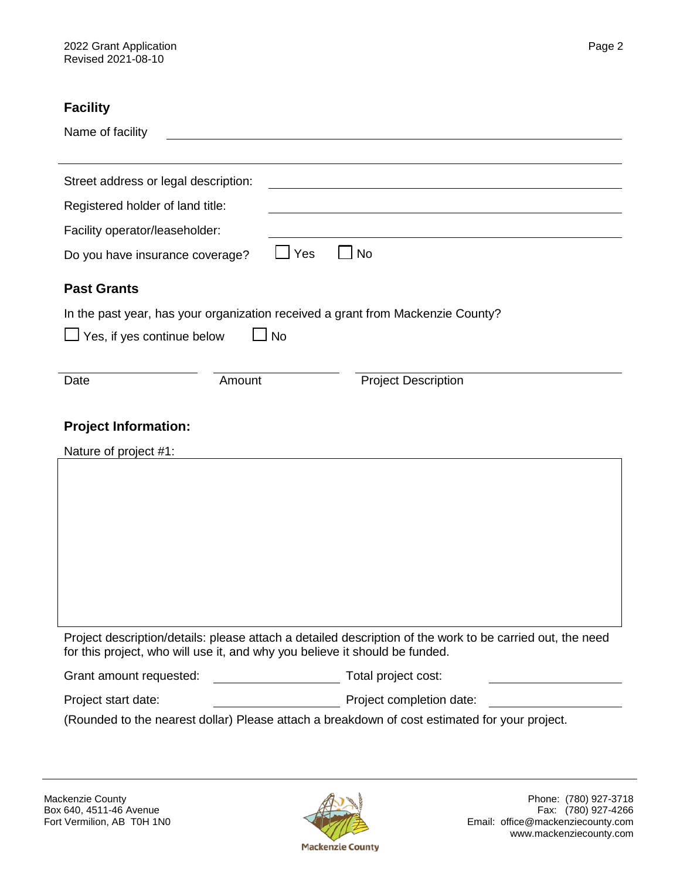### **Facility**

| Name of facility                                                                                                                                                                         |                                                                                               |  |  |
|------------------------------------------------------------------------------------------------------------------------------------------------------------------------------------------|-----------------------------------------------------------------------------------------------|--|--|
| Street address or legal description:                                                                                                                                                     |                                                                                               |  |  |
| Registered holder of land title:                                                                                                                                                         |                                                                                               |  |  |
| Facility operator/leaseholder:                                                                                                                                                           |                                                                                               |  |  |
| Do you have insurance coverage?                                                                                                                                                          | Yes<br>No                                                                                     |  |  |
| <b>Past Grants</b>                                                                                                                                                                       |                                                                                               |  |  |
| In the past year, has your organization received a grant from Mackenzie County?                                                                                                          |                                                                                               |  |  |
| Yes, if yes continue below<br><b>No</b>                                                                                                                                                  |                                                                                               |  |  |
|                                                                                                                                                                                          |                                                                                               |  |  |
| Amount<br>Date                                                                                                                                                                           | <b>Project Description</b>                                                                    |  |  |
| <b>Project Information:</b><br>Nature of project #1:                                                                                                                                     |                                                                                               |  |  |
|                                                                                                                                                                                          |                                                                                               |  |  |
|                                                                                                                                                                                          |                                                                                               |  |  |
|                                                                                                                                                                                          |                                                                                               |  |  |
|                                                                                                                                                                                          |                                                                                               |  |  |
|                                                                                                                                                                                          |                                                                                               |  |  |
|                                                                                                                                                                                          |                                                                                               |  |  |
|                                                                                                                                                                                          |                                                                                               |  |  |
| Project description/details: please attach a detailed description of the work to be carried out, the need<br>for this project, who will use it, and why you believe it should be funded. |                                                                                               |  |  |
| Grant amount requested:                                                                                                                                                                  | Total project cost:                                                                           |  |  |
| Project start date:                                                                                                                                                                      | Project completion date:                                                                      |  |  |
|                                                                                                                                                                                          | (Rounded to the nearest dollar) Please attach a breakdown of cost estimated for your project. |  |  |

# Box 640, 4511-46 Avenue<br>Fort Vermilion, AB T0H 1N0

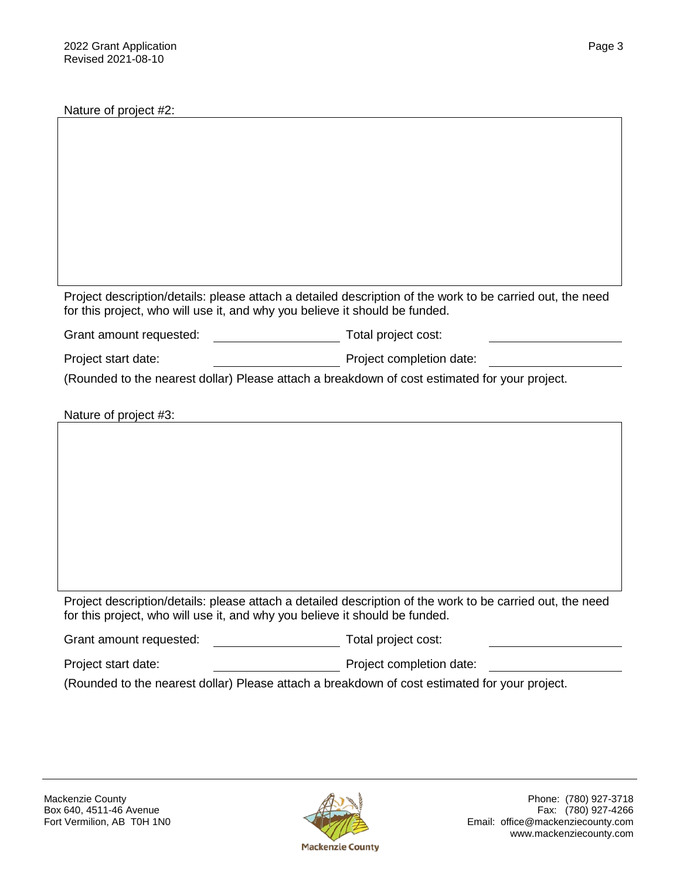Nature of project #2:

Project description/details: please attach a detailed description of the work to be carried out, the need for this project, who will use it, and why you believe it should be funded.

Grant amount requested: Total project cost:

Project start date: Project completion date:

(Rounded to the nearest dollar) Please attach a breakdown of cost estimated for your project.

Nature of project #3:

Project description/details: please attach a detailed description of the work to be carried out, the need for this project, who will use it, and why you believe it should be funded.

| Grant amount requested: | Total project cost:      |  |
|-------------------------|--------------------------|--|
| Project start date:     | Project completion date: |  |

(Rounded to the nearest dollar) Please attach a breakdown of cost estimated for your project.

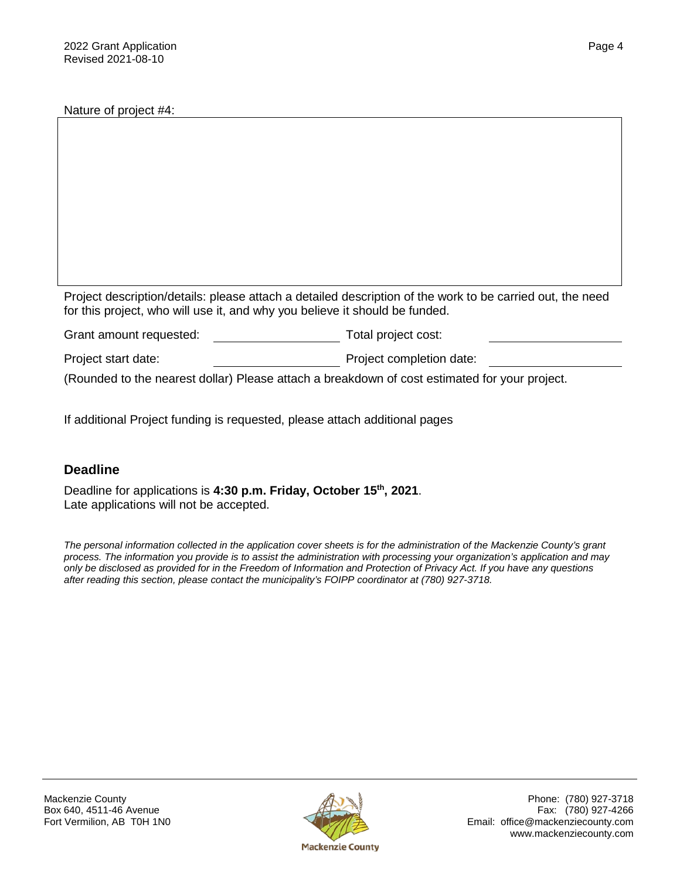Nature of project #4:

Project description/details: please attach a detailed description of the work to be carried out, the need for this project, who will use it, and why you believe it should be funded.

| Grant amount requested: | Total project cost:      |
|-------------------------|--------------------------|
| Project start date:     | Project completion date: |

(Rounded to the nearest dollar) Please attach a breakdown of cost estimated for your project.

If additional Project funding is requested, please attach additional pages

#### **Deadline**

Deadline for applications is **4:30 p.m. Friday, October 15th, 2021**. Late applications will not be accepted.

*The personal information collected in the application cover sheets is for the administration of the Mackenzie County's grant process. The information you provide is to assist the administration with processing your organization's application and may only be disclosed as provided for in the Freedom of Information and Protection of Privacy Act. If you have any questions after reading this section, please contact the municipality's FOIPP coordinator at (780) 927-3718.*



Mackenzie County  $\mathscr{A}$   $\mathscr{A}$   $\mathscr{A}$   $\mathscr{A}$  Phone: (780) 927-3718 Box 640, 4511-46 Avenue Fax: (780) 927-4266<br>Fort Vermilion, AB T0H 1N0 Fort Vermilion, AB T0H 1N0 Email: office@mackenziecounty.com www.mackenziecounty.com